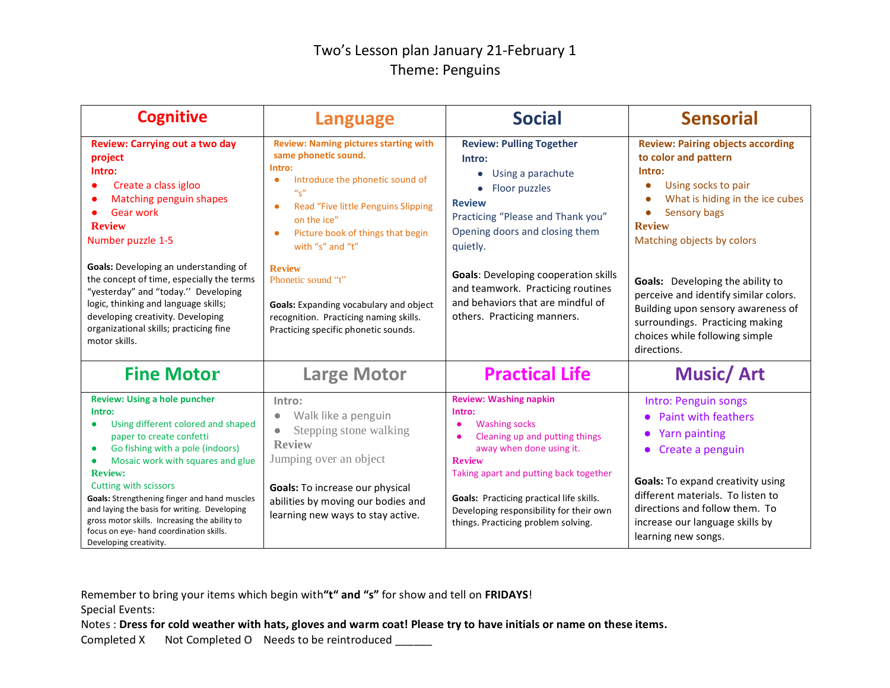## Two's Lesson plan January 21-February 1 Theme: Penguins

| <b>Cognitive</b>                                                                                                                                                                                                                                                                                                                                                                                                                                                                    | <b>Language</b>                                                                                                                                                                                                                                                                                                                                                                                                                                             | <b>Social</b>                                                                                                                                                                                                                                                                                                                               | <b>Sensorial</b>                                                                                                                                                                                                                                                                                                                                                                                                        |
|-------------------------------------------------------------------------------------------------------------------------------------------------------------------------------------------------------------------------------------------------------------------------------------------------------------------------------------------------------------------------------------------------------------------------------------------------------------------------------------|-------------------------------------------------------------------------------------------------------------------------------------------------------------------------------------------------------------------------------------------------------------------------------------------------------------------------------------------------------------------------------------------------------------------------------------------------------------|---------------------------------------------------------------------------------------------------------------------------------------------------------------------------------------------------------------------------------------------------------------------------------------------------------------------------------------------|-------------------------------------------------------------------------------------------------------------------------------------------------------------------------------------------------------------------------------------------------------------------------------------------------------------------------------------------------------------------------------------------------------------------------|
| <b>Review: Carrying out a two day</b><br>project<br>Intro:<br>Create a class igloo<br>$\bullet$<br>Matching penguin shapes<br><b>Gear work</b><br><b>Review</b><br>Number puzzle 1-5<br>Goals: Developing an understanding of<br>the concept of time, especially the terms<br>"yesterday" and "today." Developing<br>logic, thinking and language skills;<br>developing creativity. Developing<br>organizational skills; practicing fine<br>motor skills.                           | <b>Review: Naming pictures starting with</b><br>same phonetic sound.<br>Intro:<br>Introduce the phonetic sound of<br>$\bullet$<br>$u_{\rm S}$ "<br>Read "Five little Penguins Slipping<br>$\bullet$<br>on the ice"<br>Picture book of things that begin<br>$\bullet$<br>with "s" and "t"<br><b>Review</b><br>Phonetic sound "t"<br>Goals: Expanding vocabulary and object<br>recognition. Practicing naming skills.<br>Practicing specific phonetic sounds. | <b>Review: Pulling Together</b><br>Intro:<br>Using a parachute<br>Floor puzzles<br><b>Review</b><br>Practicing "Please and Thank you"<br>Opening doors and closing them<br>quietly.<br><b>Goals:</b> Developing cooperation skills<br>and teamwork. Practicing routines<br>and behaviors that are mindful of<br>others. Practicing manners. | <b>Review: Pairing objects according</b><br>to color and pattern<br>Intro:<br>Using socks to pair<br>$\bullet$<br>What is hiding in the ice cubes<br>Sensory bags<br><b>Review</b><br>Matching objects by colors<br>Goals: Developing the ability to<br>perceive and identify similar colors.<br>Building upon sensory awareness of<br>surroundings. Practicing making<br>choices while following simple<br>directions. |
| <b>Fine Motor</b>                                                                                                                                                                                                                                                                                                                                                                                                                                                                   | <b>Large Motor</b>                                                                                                                                                                                                                                                                                                                                                                                                                                          | <b>Practical Life</b>                                                                                                                                                                                                                                                                                                                       | <b>Music/Art</b>                                                                                                                                                                                                                                                                                                                                                                                                        |
| <b>Review: Using a hole puncher</b><br>Intro:<br>Using different colored and shaped<br>$\bullet$<br>paper to create confetti<br>Go fishing with a pole (indoors)<br>$\bullet$<br>Mosaic work with squares and glue<br><b>Review:</b><br>Cutting with scissors<br>Goals: Strengthening finger and hand muscles<br>and laying the basis for writing. Developing<br>gross motor skills. Increasing the ability to<br>focus on eye- hand coordination skills.<br>Developing creativity. | Intro:<br>Walk like a penguin<br>Stepping stone walking<br><b>Review</b><br>Jumping over an object<br>Goals: To increase our physical<br>abilities by moving our bodies and<br>learning new ways to stay active.                                                                                                                                                                                                                                            | <b>Review: Washing napkin</b><br>Intro:<br><b>Washing socks</b><br>Cleaning up and putting things<br>away when done using it.<br><b>Review</b><br>Taking apart and putting back together<br><b>Goals:</b> Practicing practical life skills.<br>Developing responsibility for their own<br>things. Practicing problem solving.               | Intro: Penguin songs<br><b>Paint with feathers</b><br><b>Yarn painting</b><br>$\bullet$<br>Create a penguin<br><b>Goals:</b> To expand creativity using<br>different materials. To listen to<br>directions and follow them. To<br>increase our language skills by<br>learning new songs.                                                                                                                                |

Remember to bring your items which begin with**"t" and "s"** for show and tell on **FRIDAYS**!

Special Events:

Notes : **Dress for cold weather with hats, gloves and warm coat! Please try to have initials or name on these items.**

Completed X Not Completed O Needs to be reintroduced \_\_\_\_\_\_